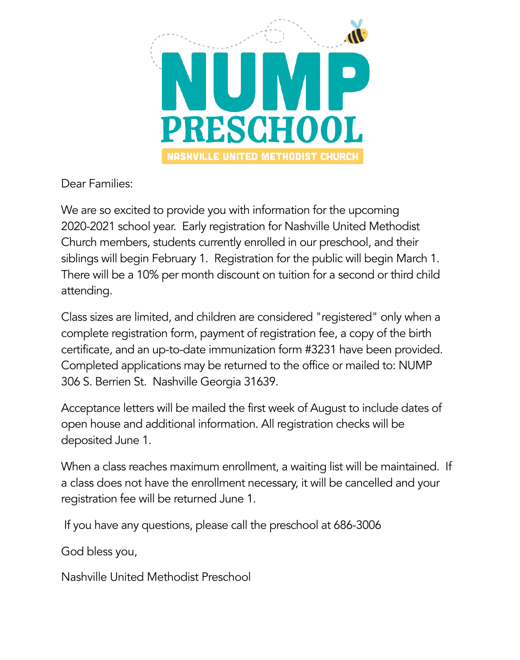

Dear Families:

We are so excited to provide you with information for the upcoming 2020-2021 school year. Early registration for Nashville United Methodist Church members, students currently enrolled in our preschool, and their siblings will begin February 1. Registration for the public will begin March 1. There will be a 10% per month discount on tuition for a second or third child attending.

Class sizes are limited, and children are considered "registered" only when a complete registration form, payment of registration fee, a copy of the birth certificate, and an up-to-date immunization form #3231 have been provided. Completed applications may be returned to the office or mailed to: NUMP 306 S. Berrien St. Nashville Georgia 31639.

Acceptance letters will be mailed the first week of August to include dates of open house and additional information. All registration checks will be deposited June 1.

When a class reaches maximum enrollment, a waiting list will be maintained. If a class does not have the enrollment necessary, it will be cancelled and your registration fee will be returned June 1.

If you have any questions, please call the preschool at 686-3006

God bless you,

Nashville United Methodist Preschool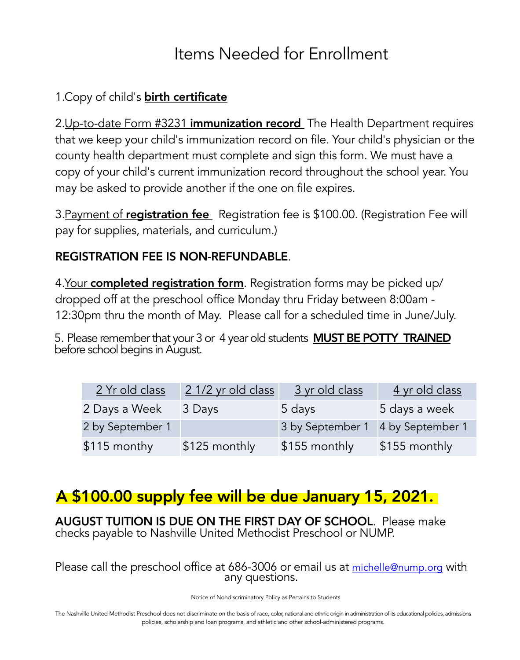### Items Needed for Enrollment

### 1. Copy of child's **birth certificate**

2.Up-to-date Form #3231 immunization record The Health Department requires that we keep your child's immunization record on file. Your child's physician or the county health department must complete and sign this form. We must have a copy of your child's current immunization record throughout the school year. You may be asked to provide another if the one on file expires.

3. Payment of registration fee Registration fee is \$100.00. (Registration Fee will pay for supplies, materials, and curriculum.)

#### REGISTRATION FEE IS NON-REFUNDABLE.

4. Your completed registration form. Registration forms may be picked up/ dropped off at the preschool office Monday thru Friday between 8:00am - 12:30pm thru the month of May. Please call for a scheduled time in June/July.

5. Please remember that your 3 or 4 year old students **MUST BE POTTY TRAINED** before school begins in August.

| 2 Yr old class   | 2 1/2 yr old class | 3 yr old class   | 4 yr old class   |
|------------------|--------------------|------------------|------------------|
| 2 Days a Week    | 3 Days             | 5 days           | 5 days a week    |
| 2 by September 1 |                    | 3 by September 1 | 4 by September 1 |
| \$115 monthy     | \$125 monthly      | \$155 monthly    | \$155 monthly    |

### A \$100.00 supply fee will be due January 15, 2021.

AUGUST TUITION IS DUE ON THE FIRST DAY OF SCHOOL. Please make checks payable to Nashville United Methodist Preschool or NUMP.

Please call the preschool office at 686-3006 or email us at [michelle@nump.org](mailto:michelle@nump.org) with any questions.

Notice of Nondiscriminatory Policy as Pertains to Students

The Nashville United Methodist Preschool does not discriminate on the basis of race, color, national and ethnic origin in administration of its educational policies, admissions policies, scholarship and loan programs, and athletic and other school-administered programs.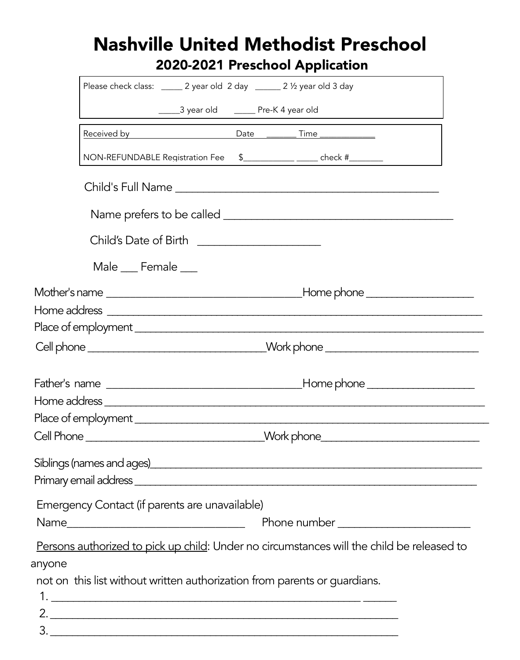### Nashville United Methodist Preschool 2020-2021 Preschool Application

|        | Please check class: _______ 2 year old 2 day _______ 2 1/2 year old 3 day                 |  |  |  |
|--------|-------------------------------------------------------------------------------------------|--|--|--|
|        |                                                                                           |  |  |  |
|        |                                                                                           |  |  |  |
|        | NON-REFUNDABLE Registration Fee                                                           |  |  |  |
|        |                                                                                           |  |  |  |
|        |                                                                                           |  |  |  |
|        | Child's Date of Birth __________________________                                          |  |  |  |
|        | Male ___ Female ___                                                                       |  |  |  |
|        |                                                                                           |  |  |  |
|        |                                                                                           |  |  |  |
|        |                                                                                           |  |  |  |
|        | Cell phone ___________________________________Work phone _______________________          |  |  |  |
|        |                                                                                           |  |  |  |
|        |                                                                                           |  |  |  |
|        |                                                                                           |  |  |  |
|        | Cell Phone __________________________________Work phone_________________________          |  |  |  |
|        | Siblings (names and ages)<br><u>Siblings</u> (names and ages)                             |  |  |  |
|        |                                                                                           |  |  |  |
|        |                                                                                           |  |  |  |
|        | Emergency Contact (if parents are unavailable)                                            |  |  |  |
|        |                                                                                           |  |  |  |
|        | Persons authorized to pick up child: Under no circumstances will the child be released to |  |  |  |
| anyone |                                                                                           |  |  |  |
|        | not on this list without written authorization from parents or guardians.                 |  |  |  |
|        |                                                                                           |  |  |  |
|        |                                                                                           |  |  |  |
|        |                                                                                           |  |  |  |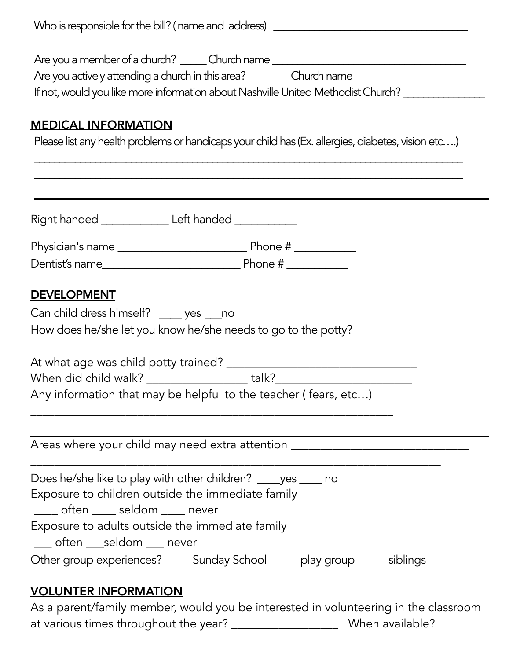| Who is responsible for the bill? (name and address) |  |
|-----------------------------------------------------|--|
|-----------------------------------------------------|--|

\_\_\_\_\_\_\_\_\_\_\_\_\_\_\_\_\_\_\_\_\_\_\_\_\_\_\_\_\_\_\_\_\_\_\_\_\_\_\_\_\_\_\_\_\_\_\_\_\_\_\_\_\_\_\_\_\_\_\_\_\_\_\_\_\_\_\_\_\_\_\_\_\_\_\_\_\_\_\_\_\_\_\_\_\_\_\_\_\_\_\_\_\_\_\_\_\_\_\_\_\_\_\_\_\_\_\_\_\_\_\_\_\_\_\_\_\_\_\_\_\_\_\_\_\_\_\_\_\_\_\_\_\_\_\_\_\_\_\_\_\_\_\_\_\_\_\_\_\_\_\_\_\_\_\_\_\_\_\_\_\_\_ Are you a member of a church? \_\_\_\_\_\_ Church name \_\_\_\_\_\_\_\_\_\_\_\_\_\_\_\_\_\_\_\_\_\_\_\_\_\_\_\_\_\_\_

Are you actively attending a church in this area? \_\_\_\_\_\_\_\_ Church name \_\_\_\_\_\_\_\_\_\_\_\_\_\_\_\_\_\_\_\_\_\_\_\_

If not, would you like more information about Nashville United Methodist Church? \_\_\_\_\_\_\_\_\_\_\_\_\_\_\_\_\_\_\_

#### MEDICAL INFORMATION

Please list any health problems or handicaps your child has (Ex. allergies, diabetes, vision etc...)

| Right handed ________________ Left handed _____________ |                                                                                  |  |
|---------------------------------------------------------|----------------------------------------------------------------------------------|--|
|                                                         |                                                                                  |  |
|                                                         |                                                                                  |  |
|                                                         |                                                                                  |  |
| <b>DEVELOPMENT</b>                                      |                                                                                  |  |
| Can child dress himself? ____ yes ___ no                |                                                                                  |  |
|                                                         | How does he/she let you know he/she needs to go to the potty?                    |  |
|                                                         |                                                                                  |  |
|                                                         | When did child walk? ____________________talk?__________________________________ |  |
|                                                         | Any information that may be helpful to the teacher (fears, etc)                  |  |
|                                                         | Areas where your child may need extra attention ________________________________ |  |
| Exposure to children outside the immediate family       | Does he/she like to play with other children? _____ yes _____ no                 |  |
| ____ often ____ seldom ____ never                       |                                                                                  |  |
| Exposure to adults outside the immediate family         |                                                                                  |  |
| often seldom never                                      |                                                                                  |  |
|                                                         | Other group experiences? _______Sunday School _______ play group ______ siblings |  |

As a parent/family member, would you be interested in volunteering in the classroom at various times throughout the year? \_\_\_\_\_\_\_\_\_\_\_\_\_\_\_\_\_\_\_\_\_\_\_\_ When available?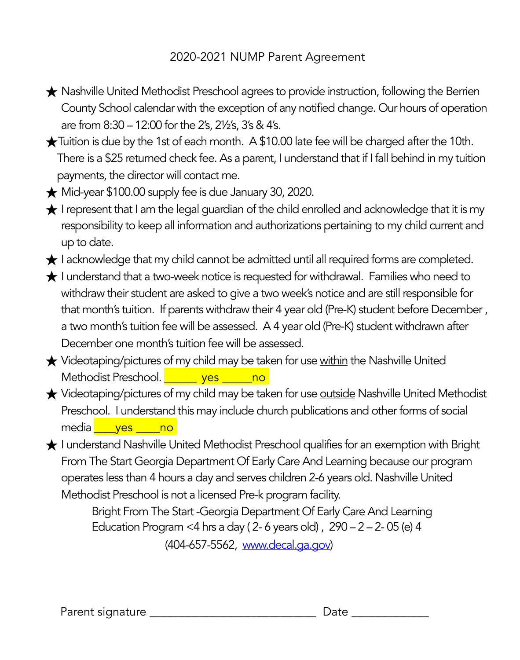#### 2020-2021 NUMP Parent Agreement

- ★ Nashville United Methodist Preschool agrees to provide instruction, following the Berrien County School calendar with the exception of any notified change. Our hours of operation are from 8:30 – 12:00 for the 2's, 2½'s, 3's & 4's.
- ★Tuition is due by the 1st of each month. A \$10.00 late fee will be charged after the 10th. There is a \$25 returned check fee. As a parent, I understand that if I fall behind in my tuition payments, the director will contact me.
- ★ Mid-year \$100.00 supply fee is due January 30, 2020.
- $\bigstar$  I represent that I am the legal guardian of the child enrolled and acknowledge that it is my responsibility to keep all information and authorizations pertaining to my child current and up to date.
- ★ I acknowledge that my child cannot be admitted until all required forms are completed.
- ★ I understand that a two-week notice is requested for withdrawal. Families who need to withdraw their student are asked to give a two week's notice and are still responsible for that month's tuition. If parents withdraw their 4 year old (Pre-K) student before December , a two month's tuition fee will be assessed. A 4 year old (Pre-K) student withdrawn after December one month's tuition fee will be assessed.
- ★ Videotaping/pictures of my child may be taken for use within the Nashville United Methodist Preschool. **\_\_\_\_\_\_\_ yes \_\_\_\_\_no**
- ★ Videotaping/pictures of my child may be taken for use outside Nashville United Methodist Preschool. I understand this may include church publications and other forms of social media ves no
- ★ I understand Nashville United Methodist Preschool qualifies for an exemption with Bright From The Start Georgia Department Of Early Care And Learning because our program operates less than 4 hours a day and serves children 2-6 years old. Nashville United Methodist Preschool is not a licensed Pre-k program facility.

 Bright From The Start -Georgia Department Of Early Care And Learning Education Program <4 hrs a day ( $2-6$  years old),  $290-2-2-05$  (e) 4 (404-657-5562, [www.decal.ga.gov\)](http://www.decal.ga.gov)

Parent signature \_\_\_\_\_\_\_\_\_\_\_\_\_\_\_\_\_\_\_\_\_\_\_\_\_\_\_\_ Date \_\_\_\_\_\_\_\_\_\_\_\_\_